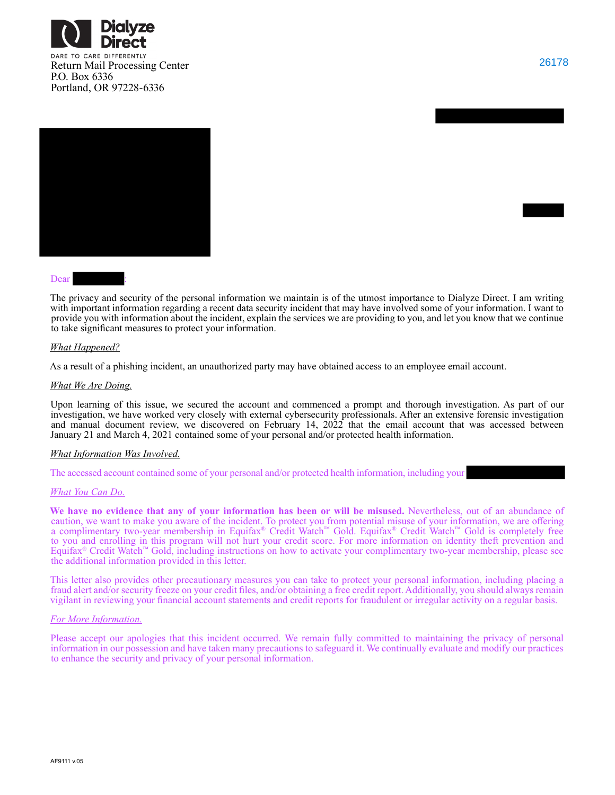





#### Dear

The privacy and security of the personal information we maintain is of the utmost importance to Dialyze Direct. I am writing with important information regarding a recent data security incident that may have involved some of your information. I want to provide you with information about the incident, explain the services we are providing to you, and let you know that we continue to take significant measures to protect your information.

### *What Happened?*

As a result of a phishing incident, an unauthorized party may have obtained access to an employee email account.

### *What We Are Doing.*

Upon learning of this issue, we secured the account and commenced a prompt and thorough investigation. As part of our investigation, we have worked very closely with external cybersecurity professionals. After an extensive forensic investigation and manual document review, we discovered on February 14, 2022 that the email account that was accessed between January 21 and March 4, 2021 contained some of your personal and/or protected health information.

### *What Information Was Involved.*

The accessed account contained some of your personal and/or protected health information, including your

#### *What You Can Do.*

**We have no evidence that any of your information has been or will be misused.** Nevertheless, out of an abundance of caution, we want to make you aware of the incident. To protect you from potential misuse of your information, we are offering a complimentary two-year membership in Equifax® Credit Watch™ Gold. Equifax® Credit Watch™ Gold is completely free to you and enrolling in this program will not hurt your credit score. For more information on identity theft prevention and Equifax® Credit Watch™ Gold, including instructions on how to activate your complimentary two-year membership, please see the additional information provided in this letter.

This letter also provides other precautionary measures you can take to protect your personal information, including placing a fraud alert and/or security freeze on your credit files, and/or obtaining a free credit report. Additionally, you should always remain vigilant in reviewing your financial account statements and credit reports for fraudulent or irregular activity on a regular basis.

#### *For More Information.*

Please accept our apologies that this incident occurred. We remain fully committed to maintaining the privacy of personal information in our possession and have taken many precautions to safeguard it. We continually evaluate and modify our practices to enhance the security and privacy of your personal information.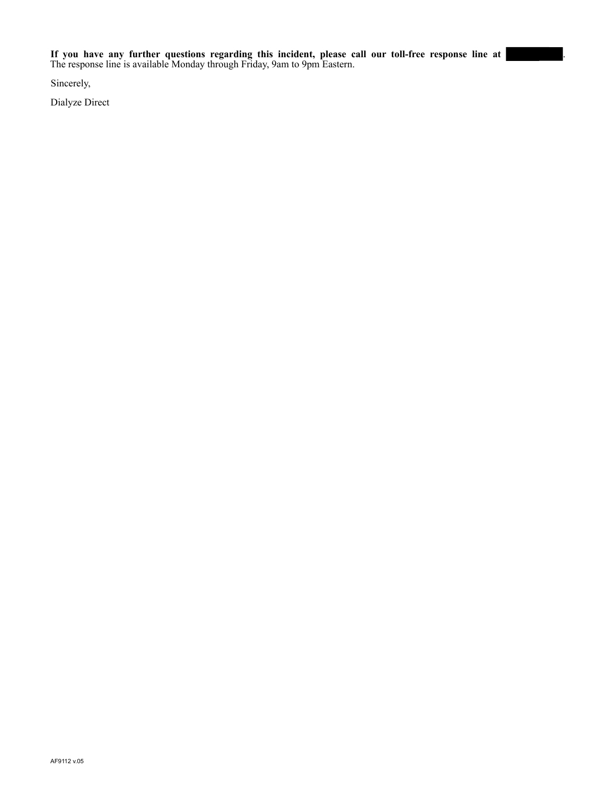Sincerely,

Dialyze Direct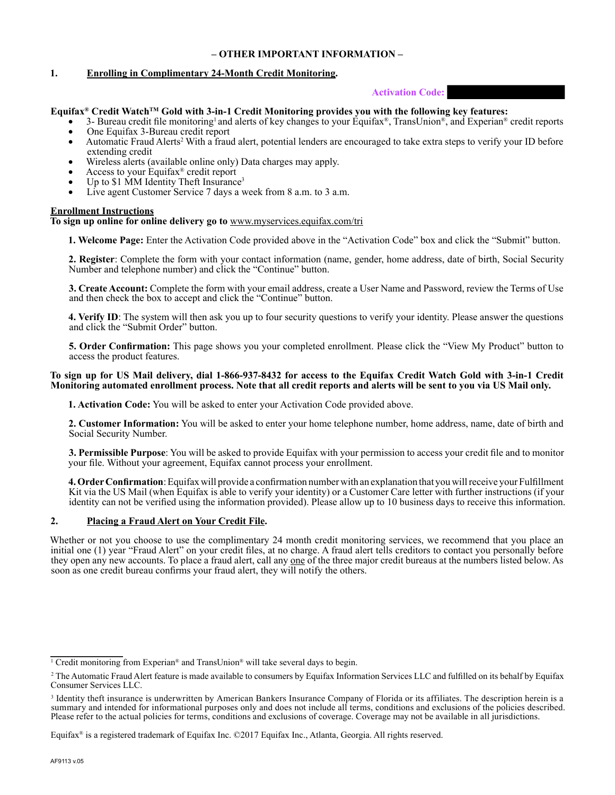## **– OTHER IMPORTANT INFORMATION –**

## **1. Enrolling in Complimentary 24-Month Credit Monitoring.**

## **Activation Code:**

## **Equifax® Credit WatchTM Gold with 3-in-1 Credit Monitoring provides you with the following key features:**

- 3- Bureau credit file monitoring<sup>1</sup> and alerts of key changes to your Equifax®, TransUnion®, and Experian® credit reports • One Equifax 3-Bureau credit report
- Automatic Fraud Alerts<sup>2</sup> With a fraud alert, potential lenders are encouraged to take extra steps to verify your ID before extending credit
- Wireless alerts (available online only) Data charges may apply.
- Access to your Equifax<sup>®</sup> credit report
- Up to \$1 MM Identity Theft Insurance<sup>3</sup>
- Live agent Customer Service 7 days a week from 8 a.m. to 3 a.m.

### **Enrollment Instructions**

### **To sign up online for online delivery go to** www.myservices.equifax.com/tri

**1. Welcome Page:** Enter the Activation Code provided above in the "Activation Code" box and click the "Submit" button.

**2. Register**: Complete the form with your contact information (name, gender, home address, date of birth, Social Security Number and telephone number) and click the "Continue" button.

**3. Create Account:** Complete the form with your email address, create a User Name and Password, review the Terms of Use and then check the box to accept and click the "Continue" button.

**4. Verify ID**: The system will then ask you up to four security questions to verify your identity. Please answer the questions and click the "Submit Order" button.

**5. Order Confirmation:** This page shows you your completed enrollment. Please click the "View My Product" button to access the product features.

### **To sign up for US Mail delivery, dial 1-866-937-8432 for access to the Equifax Credit Watch Gold with 3-in-1 Credit Monitoring automated enrollment process. Note that all credit reports and alerts will be sent to you via US Mail only.**

**1. Activation Code:** You will be asked to enter your Activation Code provided above.

**2. Customer Information:** You will be asked to enter your home telephone number, home address, name, date of birth and Social Security Number.

**3. Permissible Purpose**: You will be asked to provide Equifax with your permission to access your credit file and to monitor your file. Without your agreement, Equifax cannot process your enrollment.

**4.Order Confirmation**: Equifax will provide a confirmation number with an explanation that you will receive your Fulfillment Kit via the US Mail (when Equifax is able to verify your identity) or a Customer Care letter with further instructions (if your identity can not be verified using the information provided). Please allow up to 10 business days to receive this information.

### **2. Placing a Fraud Alert on Your Credit File.**

Whether or not you choose to use the complimentary 24 month credit monitoring services, we recommend that you place an initial one (1) year "Fraud Alert" on your credit files, at no charge. A fraud alert tells creditors to contact you personally before they open any new accounts. To place a fraud alert, call any one of the three major credit bureaus at the numbers listed below. As soon as one credit bureau confirms your fraud alert, they will notify the others.

<sup>&</sup>lt;sup>1</sup> Credit monitoring from Experian<sup>®</sup> and TransUnion<sup>®</sup> will take several days to begin.

<sup>2</sup> The Automatic Fraud Alert feature is made available to consumers by Equifax Information Services LLC and fulfilled on its behalf by Equifax Consumer Services LLC.

<sup>3</sup> Identity theft insurance is underwritten by American Bankers Insurance Company of Florida or its affiliates. The description herein is a summary and intended for informational purposes only and does not include all terms, conditions and exclusions of the policies described. Please refer to the actual policies for terms, conditions and exclusions of coverage. Coverage may not be available in all jurisdictions.

Equifax® is a registered trademark of Equifax Inc. ©2017 Equifax Inc., Atlanta, Georgia. All rights reserved.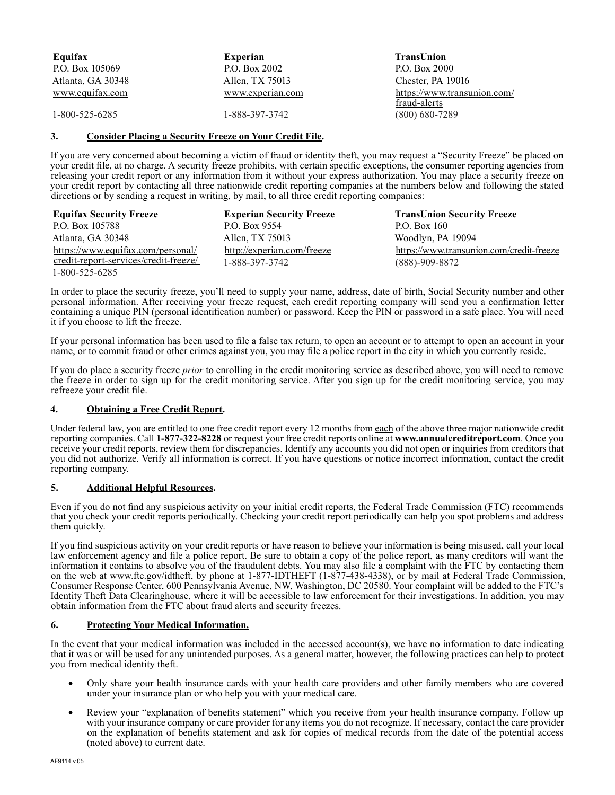| Equifax           | <b>Experian</b>  | TransUnion                                  |
|-------------------|------------------|---------------------------------------------|
| P.O. Box 105069   | P.O. Box 2002    | P.O. Box 2000                               |
| Atlanta, GA 30348 | Allen, TX 75013  | Chester, PA 19016                           |
| www.equifax.com   | www.experian.com | https://www.transunion.com/<br>fraud-alerts |
| 1-800-525-6285    | 1-888-397-3742   | $(800)$ 680-7289                            |

# **3. Consider Placing a Security Freeze on Your Credit File.**

If you are very concerned about becoming a victim of fraud or identity theft, you may request a "Security Freeze" be placed on your credit file, at no charge. A security freeze prohibits, with certain specific exceptions, the consumer reporting agencies from releasing your credit report or any information from it without your express authorization. You may place a security freeze on your credit report by contacting all three nationwide credit reporting companies at the numbers below and following the stated directions or by sending a request in writing, by mail, to all three credit reporting companies:

| <b>Equifax Security Freeze</b>        | <b>Experian Security Freeze</b> | <b>TransUnion Security Freeze</b>        |
|---------------------------------------|---------------------------------|------------------------------------------|
| P.O. Box 105788                       | P.O. Box 9554                   | P.O. Box $160$                           |
| Atlanta, GA 30348                     | Allen, TX 75013                 | Woodlyn, PA 19094                        |
| https://www.equifax.com/personal/     | http://experian.com/freeze      | https://www.transunion.com/credit-freeze |
| credit-report-services/credit-freeze/ | 1-888-397-3742                  | $(888) - 909 - 8872$                     |
| 1-800-525-6285                        |                                 |                                          |

In order to place the security freeze, you'll need to supply your name, address, date of birth, Social Security number and other personal information. After receiving your freeze request, each credit reporting company will send you a confirmation letter containing a unique PIN (personal identification number) or password. Keep the PIN or password in a safe place. You will need it if you choose to lift the freeze.

If your personal information has been used to file a false tax return, to open an account or to attempt to open an account in your name, or to commit fraud or other crimes against you, you may file a police report in the city in which you currently reside.

If you do place a security freeze *prior* to enrolling in the credit monitoring service as described above, you will need to remove the freeze in order to sign up for the credit monitoring service. After you sign up for the credit monitoring service, you may refreeze your credit file.

# **4. Obtaining a Free Credit Report.**

Under federal law, you are entitled to one free credit report every 12 months from each of the above three major nationwide credit reporting companies. Call **1-877-322-8228** or request your free credit reports online at **www.annualcreditreport.com**. Once you receive your credit reports, review them for discrepancies. Identify any accounts you did not open or inquiries from creditors that you did not authorize. Verify all information is correct. If you have questions or notice incorrect information, contact the credit reporting company.

## **5. Additional Helpful Resources.**

Even if you do not find any suspicious activity on your initial credit reports, the Federal Trade Commission (FTC) recommends that you check your credit reports periodically. Checking your credit report periodically can help you spot problems and address them quickly.

If you find suspicious activity on your credit reports or have reason to believe your information is being misused, call your local law enforcement agency and file a police report. Be sure to obtain a copy of the police report, as many creditors will want the information it contains to absolve you of the fraudulent debts. You may also file a complaint with the FTC by contacting them on the web at www.ftc.gov/idtheft, by phone at 1-877-IDTHEFT (1-877-438-4338), or by mail at Federal Trade Commission, Consumer Response Center, 600 Pennsylvania Avenue, NW, Washington, DC 20580. Your complaint will be added to the FTC's Identity Theft Data Clearinghouse, where it will be accessible to law enforcement for their investigations. In addition, you may obtain information from the FTC about fraud alerts and security freezes.

### **6. Protecting Your Medical Information.**

In the event that your medical information was included in the accessed account(s), we have no information to date indicating that it was or will be used for any unintended purposes. As a general matter, however, the following practices can help to protect you from medical identity theft.

- Only share your health insurance cards with your health care providers and other family members who are covered under your insurance plan or who help you with your medical care.
- Review your "explanation of benefits statement" which you receive from your health insurance company. Follow up with your insurance company or care provider for any items you do not recognize. If necessary, contact the care provider on the explanation of benefits statement and ask for copies of medical records from the date of the potential access (noted above) to current date.